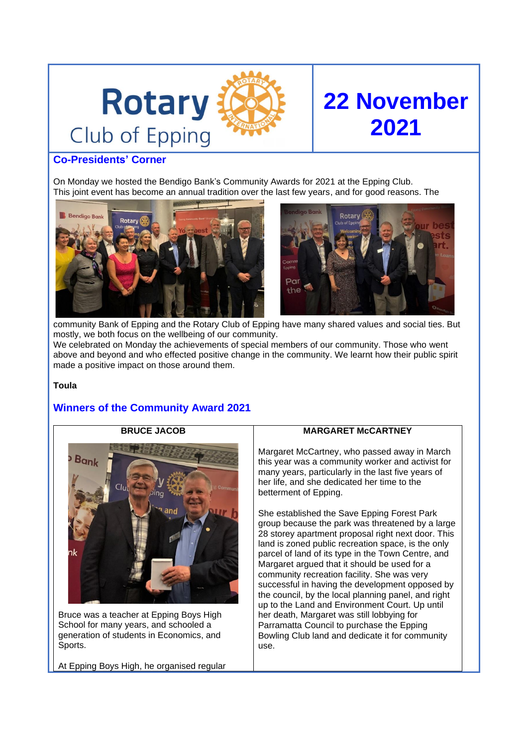



# **Co-Presidents' Corner**

On Monday we hosted the Bendigo Bank's Community Awards for 2021 at the Epping Club. This joint event has become an annual tradition over the last few years, and for good reasons. The





community Bank of Epping and the Rotary Club of Epping have many shared values and social ties. But mostly, we both focus on the wellbeing of our community. We celebrated on Monday the achievements of special members of our community. Those who went above and beyond and who effected positive change in the community. We learnt how their public spirit made a positive impact on those around them.

#### **Toula**

# **Winners of the Community Award 2021**



Bruce was a teacher at Epping Boys High School for many years, and schooled a generation of students in Economics, and Sports.

At Epping Boys High, he organised regular

## **MARGARET McCARTNEY**

Margaret McCartney, who passed away in March this year was a community worker and activist for many years, particularly in the last five years of her life, and she dedicated her time to the betterment of Epping.

She established the Save Epping Forest Park group because the park was threatened by a large 28 storey apartment proposal right next door. This land is zoned public recreation space, is the only parcel of land of its type in the Town Centre, and Margaret argued that it should be used for a community recreation facility. She was very successful in having the development opposed by the council, by the local planning panel, and right up to the Land and Environment Court. Up until her death, Margaret was still lobbying for Parramatta Council to purchase the Epping Bowling Club land and dedicate it for community use.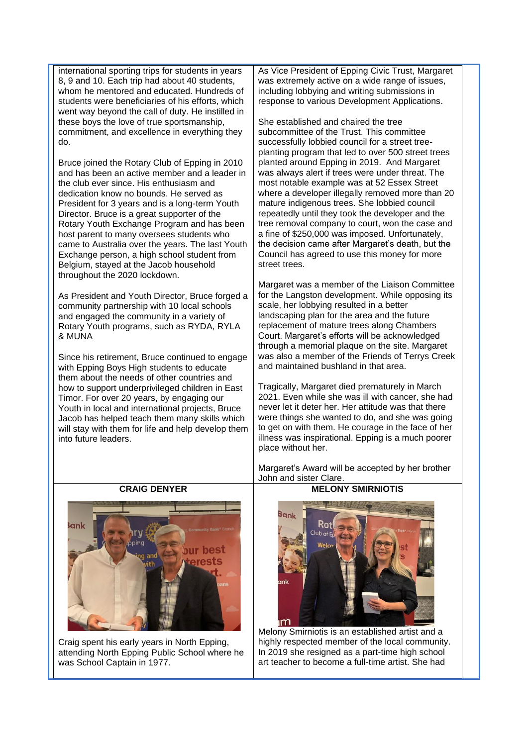international sporting trips for students in years 8, 9 and 10. Each trip had about 40 students, whom he mentored and educated. Hundreds of students were beneficiaries of his efforts, which went way beyond the call of duty. He instilled in these boys the love of true sportsmanship, commitment, and excellence in everything they do.

Bruce joined the Rotary Club of Epping in 2010 and has been an active member and a leader in the club ever since. His enthusiasm and dedication know no bounds. He served as President for 3 years and is a long-term Youth Director. Bruce is a great supporter of the Rotary Youth Exchange Program and has been host parent to many oversees students who came to Australia over the years. The last Youth Exchange person, a high school student from Belgium, stayed at the Jacob household throughout the 2020 lockdown.

As President and Youth Director, Bruce forged a community partnership with 10 local schools and engaged the community in a variety of Rotary Youth programs, such as RYDA, RYLA & MUNA

Since his retirement, Bruce continued to engage with Epping Boys High students to educate them about the needs of other countries and how to support underprivileged children in East Timor. For over 20 years, by engaging our Youth in local and international projects, Bruce Jacob has helped teach them many skills which will stay with them for life and help develop them into future leaders.

As Vice President of Epping Civic Trust, Margaret was extremely active on a wide range of issues, including lobbying and writing submissions in response to various Development Applications.

She established and chaired the tree subcommittee of the Trust. This committee successfully lobbied council for a street treeplanting program that led to over 500 street trees planted around Epping in 2019. And Margaret was always alert if trees were under threat. The most notable example was at 52 Essex Street where a developer illegally removed more than 20 mature indigenous trees. She lobbied council repeatedly until they took the developer and the tree removal company to court, won the case and a fine of \$250,000 was imposed. Unfortunately, the decision came after Margaret's death, but the Council has agreed to use this money for more street trees.

Margaret was a member of the Liaison Committee for the Langston development. While opposing its scale, her lobbying resulted in a better landscaping plan for the area and the future replacement of mature trees along Chambers Court. Margaret's efforts will be acknowledged through a memorial plaque on the site. Margaret was also a member of the Friends of Terrys Creek and maintained bushland in that area.

Tragically, Margaret died prematurely in March 2021. Even while she was ill with cancer, she had never let it deter her. Her attitude was that there were things she wanted to do, and she was going to get on with them. He courage in the face of her illness was inspirational. Epping is a much poorer place without her.

Margaret's Award will be accepted by her brother John and sister Clare.



Craig spent his early years in North Epping, attending North Epping Public School where he was School Captain in 1977.

## **MELONY SMIRNIOTIS**



Melony Smirniotis is an established artist and a highly respected member of the local community. In 2019 she resigned as a part-time high school art teacher to become a full-time artist. She had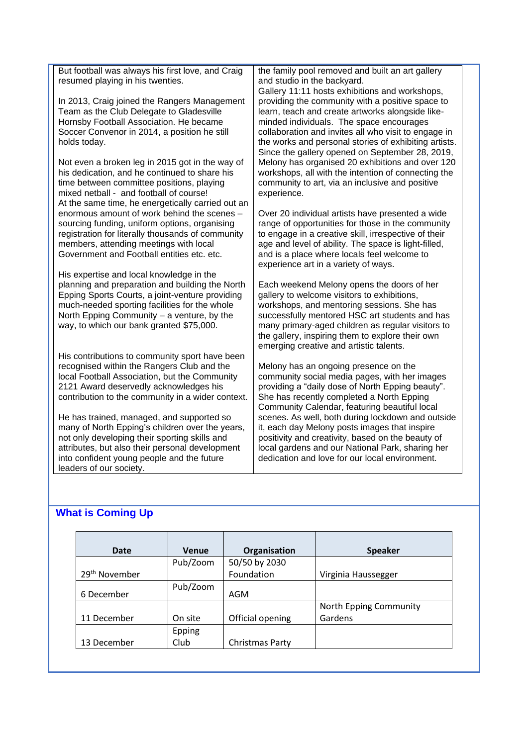But football was always his first love, and Craig resumed playing in his twenties.

In 2013, Craig joined the Rangers Management Team as the Club Delegate to Gladesville Hornsby Football Association. He became Soccer Convenor in 2014, a position he still holds today.

Not even a broken leg in 2015 got in the way of his dedication, and he continued to share his time between committee positions, playing mixed netball - and football of course! At the same time, he energetically carried out an enormous amount of work behind the scenes – sourcing funding, uniform options, organising registration for literally thousands of community members, attending meetings with local Government and Football entities etc. etc.

His expertise and local knowledge in the planning and preparation and building the North Epping Sports Courts, a joint-venture providing much-needed sporting facilities for the whole North Epping Community – a venture, by the way, to which our bank granted \$75,000.

His contributions to community sport have been recognised within the Rangers Club and the local Football Association, but the Community 2121 Award deservedly acknowledges his contribution to the community in a wider context.

He has trained, managed, and supported so many of North Epping's children over the years, not only developing their sporting skills and attributes, but also their personal development into confident young people and the future leaders of our society.

the family pool removed and built an art gallery and studio in the backyard.

Gallery 11:11 hosts exhibitions and workshops, providing the community with a positive space to learn, teach and create artworks alongside likeminded individuals. The space encourages collaboration and invites all who visit to engage in the works and personal stories of exhibiting artists. Since the gallery opened on September 28, 2019, Melony has organised 20 exhibitions and over 120 workshops, all with the intention of connecting the community to art, via an inclusive and positive experience.

Over 20 individual artists have presented a wide range of opportunities for those in the community to engage in a creative skill, irrespective of their age and level of ability. The space is light-filled, and is a place where locals feel welcome to experience art in a variety of ways.

Each weekend Melony opens the doors of her gallery to welcome visitors to exhibitions, workshops, and mentoring sessions. She has successfully mentored HSC art students and has many primary-aged children as regular visitors to the gallery, inspiring them to explore their own emerging creative and artistic talents.

Melony has an ongoing presence on the community social media pages, with her images providing a "daily dose of North Epping beauty". She has recently completed a North Epping Community Calendar, featuring beautiful local scenes. As well, both during lockdown and outside it, each day Melony posts images that inspire positivity and creativity, based on the beauty of local gardens and our National Park, sharing her dedication and love for our local environment.

# **What is Coming Up**

| <b>Date</b>               | <b>Venue</b> | Organisation     | <b>Speaker</b>         |
|---------------------------|--------------|------------------|------------------------|
|                           | Pub/Zoom     | 50/50 by 2030    |                        |
| 29 <sup>th</sup> November |              | Foundation       | Virginia Haussegger    |
| 6 December                | Pub/Zoom     | AGM              |                        |
|                           |              |                  | North Epping Community |
| 11 December               | On site      | Official opening | Gardens                |
|                           | Epping       |                  |                        |
| 13 December               | Club         | Christmas Party  |                        |
|                           |              |                  |                        |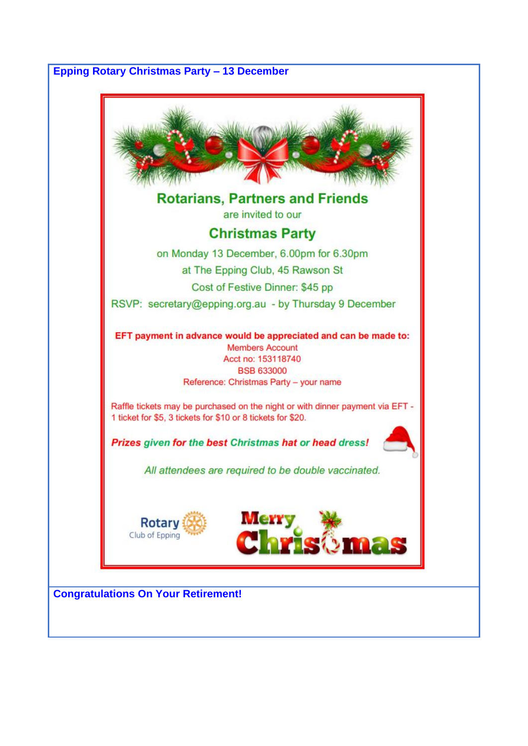# **Epping Rotary Christmas Party – 13 December**

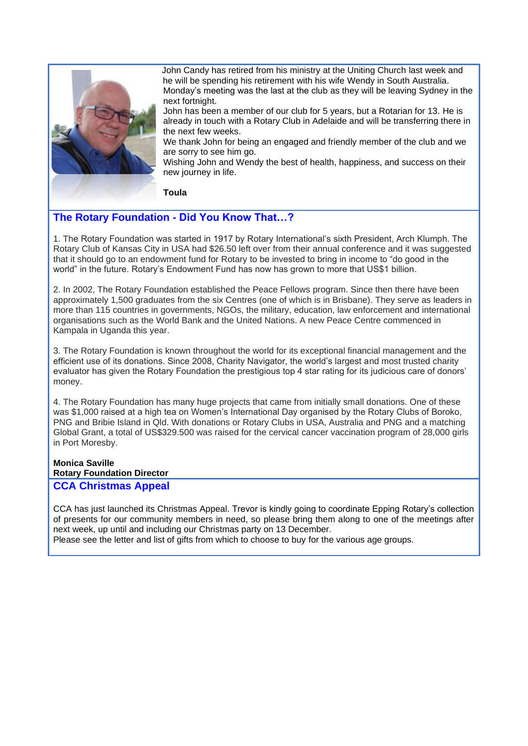

John Candy has retired from his ministry at the Uniting Church last week and he will be spending his retirement with his wife Wendy in South Australia. Monday's meeting was the last at the club as they will be leaving Sydney in the next fortnight.

John has been a member of our club for 5 years, but a Rotarian for 13. He is already in touch with a Rotary Club in Adelaide and will be transferring there in the next few weeks.

We thank John for being an engaged and friendly member of the club and we are sorry to see him go.

Wishing John and Wendy the best of health, [happiness,](https://parade.com/503725/lindsaylowe/happiness-quotes/) and success on their new journey in life.

**Toula**

# **The Rotary Foundation - Did You Know That…?**

1. The Rotary Foundation was started in 1917 by Rotary International's sixth President, Arch Klumph. The Rotary Club of Kansas City in USA had \$26.50 left over from their annual conference and it was suggested that it should go to an endowment fund for Rotary to be invested to bring in income to "do good in the world" in the future. Rotary's Endowment Fund has now has grown to more that US\$1 billion.

2. In 2002, The Rotary Foundation established the Peace Fellows program. Since then there have been approximately 1,500 graduates from the six Centres (one of which is in Brisbane). They serve as leaders in more than 115 countries in governments, NGOs, the military, education, law enforcement and international organisations such as the World Bank and the United Nations. A new Peace Centre commenced in Kampala in Uganda this year.

3. The Rotary Foundation is known throughout the world for its exceptional financial management and the efficient use of its donations. Since 2008, Charity Navigator, the world's largest and most trusted charity evaluator has given the Rotary Foundation the prestigious top 4 star rating for its judicious care of donors' money.

4. The Rotary Foundation has many huge projects that came from initially small donations. One of these was \$1,000 raised at a high tea on Women's International Day organised by the Rotary Clubs of Boroko, PNG and Bribie Island in Qld. With donations or Rotary Clubs in USA, Australia and PNG and a matching Global Grant, a total of US\$329.500 was raised for the cervical cancer vaccination program of 28,000 girls in Port Moresby.

## **Monica Saville**

**Rotary Foundation Director**

# **CCA Christmas Appeal**

CCA has just launched its Christmas Appeal. Trevor is kindly going to coordinate Epping Rotary's collection of presents for our community members in need, so please bring them along to one of the meetings after next week, up until and including our Christmas party on 13 December.

Please see the letter and list of gifts from which to choose to buy for the various age groups.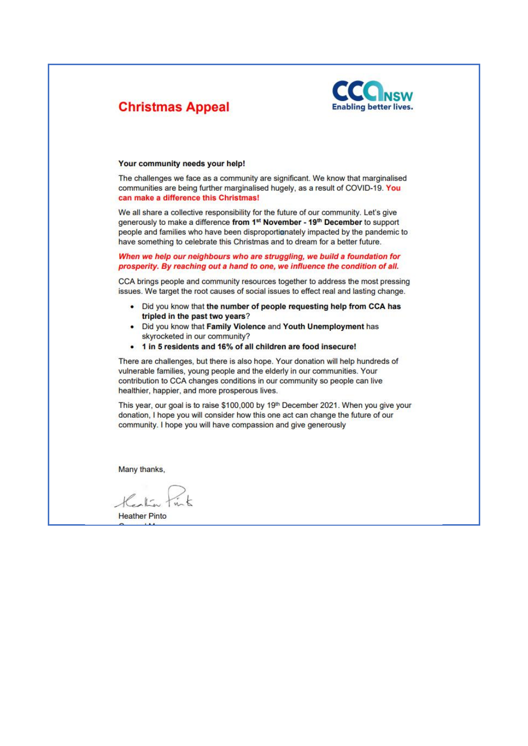

# **Christmas Appeal**

#### Your community needs your help!

The challenges we face as a community are significant. We know that marginalised communities are being further marginalised hugely, as a result of COVID-19. You can make a difference this Christmas!

We all share a collective responsibility for the future of our community. Let's give generously to make a difference from 1<sup>st</sup> November - 19<sup>th</sup> December to support people and families who have been disproportionately impacted by the pandemic to have something to celebrate this Christmas and to dream for a better future.

#### When we help our neighbours who are struggling, we build a foundation for prosperity. By reaching out a hand to one, we influence the condition of all.

CCA brings people and community resources together to address the most pressing issues. We target the root causes of social issues to effect real and lasting change.

- Did you know that the number of people requesting help from CCA has  $\bullet$ tripled in the past two years?
- Did you know that Family Violence and Youth Unemployment has ٠ skyrocketed in our community?
- 1 in 5 residents and 16% of all children are food insecure!  $\bullet$

There are challenges, but there is also hope. Your donation will help hundreds of vulnerable families, young people and the elderly in our communities. Your contribution to CCA changes conditions in our community so people can live healthier, happier, and more prosperous lives.

This year, our goal is to raise \$100,000 by 19th December 2021. When you give your donation, I hope you will consider how this one act can change the future of our community. I hope you will have compassion and give generously

Many thanks,

**Heather Pinto**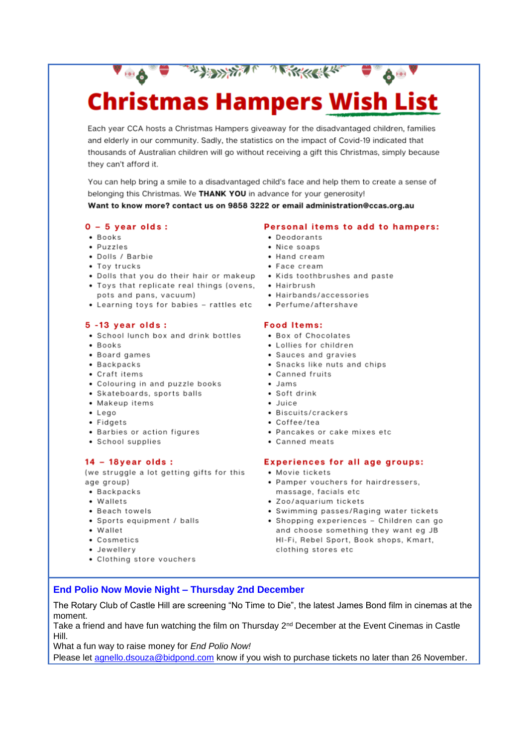# THE STATE A REPORT OF THE STATE OF THE STATE OF THE STATE OF THE STATE OF THE STATE OF THE STATE OF THE STATE OF THE STATE OF THE STATE OF THE STATE OF THE STATE OF THE STATE OF THE STATE OF THE STATE OF THE STATE OF THE S **Christmas Hampers Wish List**

Each year CCA hosts a Christmas Hampers giveaway for the disadvantaged children, families and elderly in our community. Sadly, the statistics on the impact of Covid-19 indicated that thousands of Australian children will go without receiving a gift this Christmas, simply because they can't afford it.

You can help bring a smile to a disadvantaged child's face and help them to create a sense of belonging this Christmas. We THANK YOU in advance for your generosity! Want to know more? contact us on 9858 3222 or email administration@ccas.org.au

#### $0 - 5$  year olds:

- · Books
- · Puzzles
- · Dolls / Barbie
- Toy trucks
- Dolls that you do their hair or makeup Kids toothbrushes and paste
- Toys that replicate real things (ovens, Hairbrush pots and pans, vacuum)
- Learning toys for babies rattles etc Perfume/aftershave

#### $5 - 13$  year olds:

- School lunch box and drink bottles
- · Books
- Board games
- Backpacks
- Craft items
- Colouring in and puzzle books
- Skateboards, sports balls
- Makeup items
- $\bullet$  Lego
- Fidgets
- Barbies or action figures
- School supplies

#### $14 - 18$ year olds :

(we struggle a lot getting gifts for this age group)

- Backpacks
- Wallets
- Beach towels
- Sports equipment / balls
- Wallet
- Cosmetics
- · Jewellery
- Clothing store vouchers

#### Personal items to add to hampers:

- Deodorants
- · Nice soaps
- Hand cream
- Face cream
- 
- 
- Hairbands/accessories
- 

#### **Food Items:**

- Box of Chocolates
- Lollies for children
- Sauces and gravies
- Snacks like nuts and chips
- Canned fruits
- $\bullet$  Jams
- · Soft drink
- $\bullet$  Juice
- Biscuits/crackers
- Coffee/tea
- Pancakes or cake mixes etc
- Canned meats

#### **Experiences for all age groups:**

- Movie tickets
- Pamper vouchers for hairdressers, massage, facials etc
- · Zoo/aquarium tickets
- Swimming passes/Raging water tickets
- Shopping experiences Children can go and choose something they want eg JB HI-Fi, Rebel Sport, Book shops, Kmart, clothing stores etc

## **End Polio Now Movie Night - Thursday 2nd December**

The Rotary Club of Castle Hill are screening "No Time to Die", the latest James Bond film in cinemas at the moment.

Take a friend and have fun watching the film on Thursday 2<sup>nd</sup> December at the Event Cinemas in Castle Hill.

What a fun way to raise money for End Polio Now!

Please let agnello.dsouza@bidpond.com know if you wish to purchase tickets no later than 26 November.